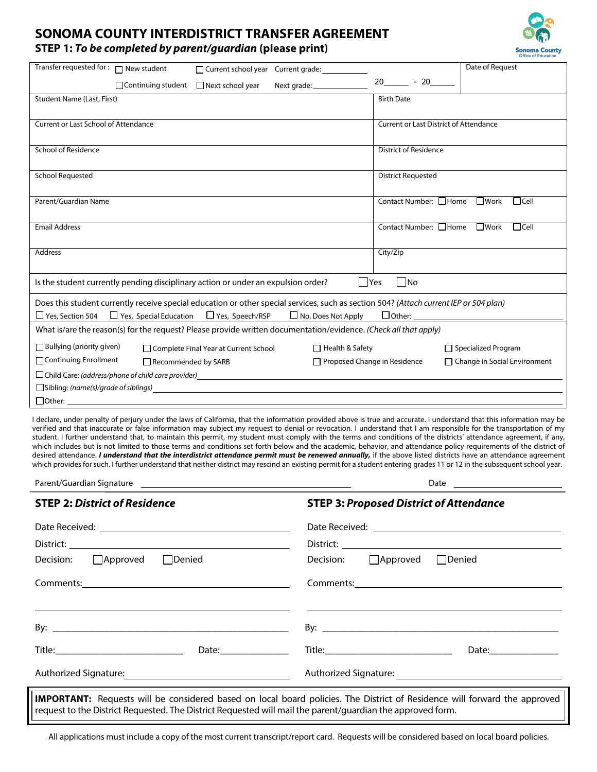# **SONOMA COUNTY INTERDISTRICT TRANSFER AGREEMENT STEP 1: To be completed by parent/guardian (please print)**



| Transfer requested for : $\Box$ New student<br>□ Current school year Current grade:                                                                                                                                                       | Date of Request                                      |
|-------------------------------------------------------------------------------------------------------------------------------------------------------------------------------------------------------------------------------------------|------------------------------------------------------|
| Next grade: _______<br>$\Box$ Continuing student<br>$\Box$ Next school year                                                                                                                                                               | $20$ - $20$ -                                        |
| Student Name (Last, First)                                                                                                                                                                                                                | <b>Birth Date</b>                                    |
|                                                                                                                                                                                                                                           |                                                      |
| <b>Current or Last School of Attendance</b>                                                                                                                                                                                               | <b>Current or Last District of Attendance</b>        |
| <b>School of Residence</b>                                                                                                                                                                                                                | <b>District of Residence</b>                         |
|                                                                                                                                                                                                                                           |                                                      |
| <b>School Requested</b>                                                                                                                                                                                                                   | <b>District Requested</b>                            |
|                                                                                                                                                                                                                                           |                                                      |
| Parent/Guardian Name                                                                                                                                                                                                                      | Contact Number: □ Home<br>$\Box$ Work<br>$\Box$ Cell |
|                                                                                                                                                                                                                                           |                                                      |
| <b>Email Address</b>                                                                                                                                                                                                                      | Contact Number: □ Home<br>$\Box$ Work<br>$\Box$ Cell |
| Address                                                                                                                                                                                                                                   |                                                      |
|                                                                                                                                                                                                                                           | City/Zip                                             |
|                                                                                                                                                                                                                                           |                                                      |
| INo<br>Is the student currently pending disciplinary action or under an expulsion order?<br>  Yes                                                                                                                                         |                                                      |
| Does this student currently receive special education or other special services, such as section 504? (Attach current IEP or 504 plan)                                                                                                    |                                                      |
| $\Box$ Yes, Section 504 $\Box$ Yes, Special Education $\Box$ Yes, Speech/RSP<br>$\Box$ No, Does Not Apply                                                                                                                                 |                                                      |
| What is/are the reason(s) for the request? Please provide written documentation/evidence. (Check all that apply)                                                                                                                          |                                                      |
| $\Box$ Bullying (priority given)<br>□ Complete Final Year at Current School<br>$\Box$ Health & Safety                                                                                                                                     | □ Specialized Program                                |
| □ Continuing Enrollment<br>Recommended by SARB<br>$\Box$ Proposed Change in Residence                                                                                                                                                     | □ Change in Social Environment                       |
| <b>Onlie Care:</b> (address/phone of child care provider) <b>Consumer Consumers and Consumers Consumers and Consumers Consumers and Consumers Consumers and Consumers Consumers and Consumers Consumers and Consumers Consumers and C</b> |                                                      |
| □ Sibling: (name(s)/grade of siblings)                                                                                                                                                                                                    |                                                      |
| <u> 1989 - Johann Stoff, Amerikaansk politiker (* 1908)</u>                                                                                                                                                                               |                                                      |

I declare, under penalty of perjury under the laws of California, that the information provided above is true and accurate. I understand that this information may be verified and that inaccurate or false information may subject my request to denial or revocation. I understand that I am responsible for the transportation of my student. I further understand that, to maintain this permit, my student must comply with the terms and conditions of the districts' attendance agreement, if any, which includes but is not limited to those terms and conditions set forth below and the academic, behavior, and attendance policy requirements of the district of desired attendance. *I understand that the interdistrict attendance permit must be renewed annually*, if the above listed districts have an attendance agreement which provides for such. I further understand that neither district may rescind an existing permit for a student entering grades 11 or 12 in the subsequent school year.

Parent/Guardian Signature Date Date of Contract and Contract of Contract and Contract and Date Date Date of Co **STEP 2: District of Residence** Date Received: **STEP 3: Proposed District of Attendance** Date Received: Decision: Approved Denied Decision: Approved Denied Comments: Comments: By: \_\_\_\_\_\_\_\_\_\_\_\_\_\_\_\_\_\_\_\_\_\_\_\_\_\_\_\_\_\_\_\_\_\_\_\_\_\_\_\_\_\_\_\_\_\_\_\_ Title: The contract of the contract of the Date: Authorized Signature: **IMPORTANT:** Requests will be considered based on local board policies. The District of Residence will forward the approved request to the District Requested. The District Requested will mail the parent/guardian the approved form. By: \_\_\_\_\_\_\_\_\_\_\_\_\_\_\_\_\_\_\_\_\_\_\_\_\_\_\_\_\_\_\_\_\_\_\_\_\_\_\_\_\_\_\_\_\_\_\_\_ Title:\_\_\_\_\_\_\_\_\_\_\_\_\_\_\_\_\_\_\_\_\_\_\_\_\_\_ Date:\_\_\_\_\_\_\_\_\_\_\_\_\_\_ Authorized Signature: District: District:

All applications must include a copy of the most current transcript/report card. Requests will be considered based on local board policies.